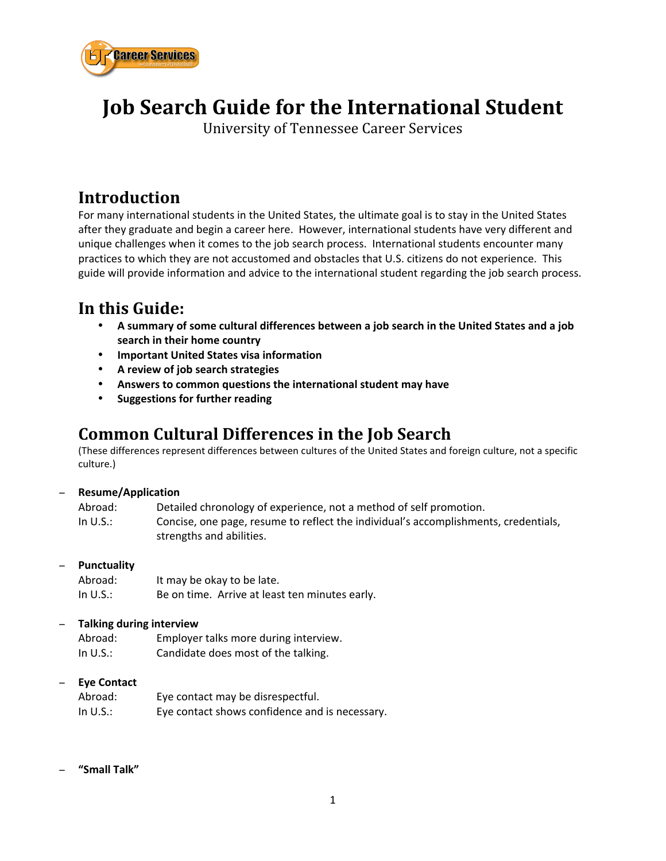

# **Job
Search
Guide
for
the
International
Student**

University
of
Tennessee
Career
Services

## **Introduction**

For many international students in the United States, the ultimate goal is to stay in the United States after
they
graduate
and
begin
a
career
here.

However,
international
students
have
very
different
and unique challenges when it comes to the job search process. International students encounter many practices to which they are not accustomed and obstacles that U.S. citizens do not experience. This guide will provide information and advice to the international student regarding the job search process.

## **In
this
Guide:**

- A summary of some cultural differences between a job search in the United States and a job **search
in
their
home
country**
- **Important
United
States
visa
information**
- **A
review
of
job
search
strategies**
- **Answers to common questions the international student may have**
- **Suggestions
for
further
reading**

## **Common
Cultural
Differences
in
the
Job
Search**

(These
differences
represent
differences
between
cultures
of
the
United
States
and
foreign
culture,
not
a
specific culture.)

#### − **Resume/Application**

| Abroad:    | Detailed chronology of experience, not a method of self promotion.                  |
|------------|-------------------------------------------------------------------------------------|
| In $U.S.:$ | Concise, one page, resume to reflect the individual's accomplishments, credentials, |
|            | strengths and abilities.                                                            |

#### − **Punctuality**

| Abroad:  | It may be okay to be late.                     |
|----------|------------------------------------------------|
| In U.S.: | Be on time. Arrive at least ten minutes early. |

#### Talking during interview

Abroad: Employer
talks
more
during
interview. In
U.S.: Candidate
does
most
of
the
talking.

#### − **Eye
Contact**

| Abroad:                           | Eye contact may be disrespectful.              |
|-----------------------------------|------------------------------------------------|
| In U.S.: $\overline{\phantom{a}}$ | Eye contact shows confidence and is necessary. |

− **"Small
Talk"**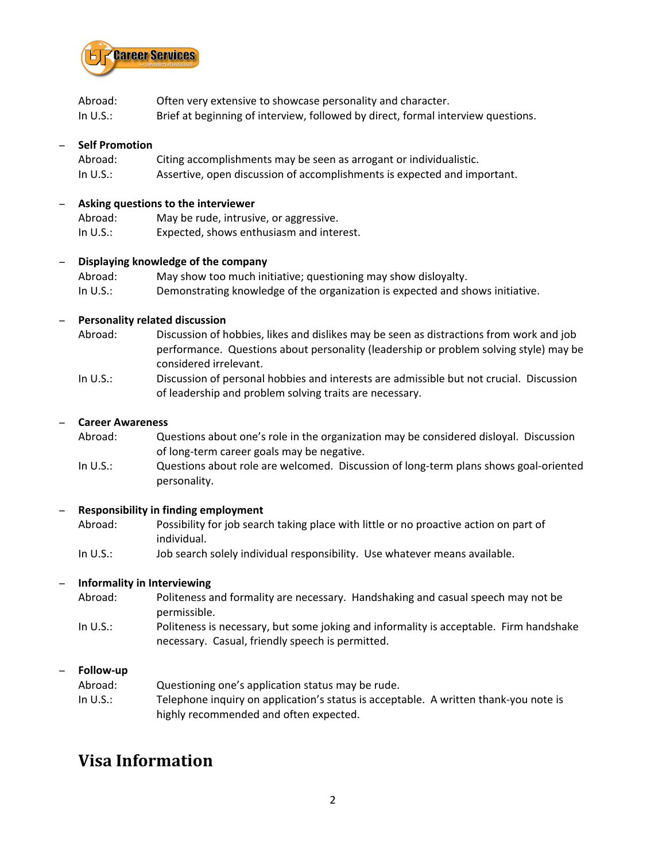

| Abroad:    | Often very extensive to showcase personality and character.                      |
|------------|----------------------------------------------------------------------------------|
| In $U.S.:$ | Brief at beginning of interview, followed by direct, formal interview questions. |

#### − **Self
Promotion**

| Abroad:    | Citing accomplishments may be seen as arrogant or individualistic.       |
|------------|--------------------------------------------------------------------------|
| In $U.S.:$ | Assertive, open discussion of accomplishments is expected and important. |

#### Asking questions to the interviewer

| Abroad:    | May be rude, intrusive, or aggressive.   |
|------------|------------------------------------------|
| In $U.S.:$ | Expected, shows enthusiasm and interest. |

#### Displaying knowledge of the company

| Abroad:  | May show too much initiative; questioning may show disloyalty.                |
|----------|-------------------------------------------------------------------------------|
| In U.S.: | Demonstrating knowledge of the organization is expected and shows initiative. |

#### − **Personality
related
discussion**

- Abroad: Discussion
of
hobbies,
likes
and
dislikes
may
be
seen
as
distractions
from
work
and
job performance.

Questions
about
personality
(leadership
or
problem
solving
style)
may
be considered
irrelevant.
- In U.S.: Discussion of personal hobbies and interests are admissible but not crucial. Discussion of
leadership
and
problem
solving
traits
are
necessary.

#### − **Career
Awareness**

- Abroad: Questions about one's role in the organization may be considered disloyal. Discussion of
long‐term
career
goals
may
be
negative.
- In U.S.: Questions about role are welcomed. Discussion of long-term plans shows goal-oriented personality.

#### Responsibility in finding employment

| Abroad:    | Possibility for job search taking place with little or no proactive action on part of |
|------------|---------------------------------------------------------------------------------------|
|            | individual.                                                                           |
| In $U.S.:$ | Job search solely individual responsibility. Use whatever means available.            |

#### Informality in Interviewing

- Abroad: Politeness
and
formality
are
necessary.

Handshaking
and
casual
speech
may
not
be permissible.
- In U.S.: Politeness is necessary, but some joking and informality is acceptable. Firm handshake necessary.

Casual,
friendly
speech
is
permitted.

#### − **Follow‐up**

| Abroad:  | Questioning one's application status may be rude.                                    |
|----------|--------------------------------------------------------------------------------------|
| In U.S.: | Telephone inquiry on application's status is acceptable. A written thank-you note is |
|          | highly recommended and often expected.                                               |

## **Visa
Information**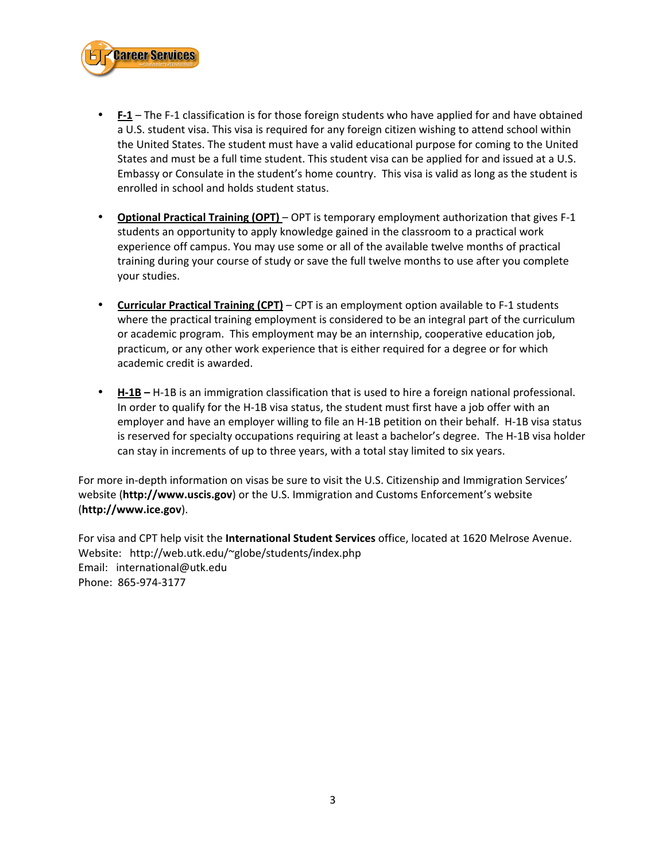

- **F-1** The F-1 classification is for those foreign students who have applied for and have obtained a U.S. student visa. This visa is required for any foreign citizen wishing to attend school within the United States. The student must have a valid educational purpose for coming to the United States and must be a full time student. This student visa can be applied for and issued at a U.S. Embassy or Consulate in the student's home country. This visa is valid as long as the student is enrolled
in
school
and
holds
student
status.
- Optional Practical Training (OPT) OPT is temporary employment authorization that gives F-1 students an opportunity to apply knowledge gained in the classroom to a practical work experience off campus. You may use some or all of the available twelve months of practical training during your course of study or save the full twelve months to use after you complete your
studies.
- Curricular Practical Training (CPT) CPT is an employment option available to F-1 students where the practical training employment is considered to be an integral part of the curriculum or
academic
program. This
employment
may
be
an
internship,
cooperative
education
job, practicum, or any other work experience that is either required for a degree or for which academic
credit
is
awarded.
- **H-1B** H-1B is an immigration classification that is used to hire a foreign national professional. In order to qualify for the H-1B visa status, the student must first have a job offer with an employer and have an employer willing to file an H-1B petition on their behalf. H-1B visa status is reserved for specialty occupations requiring at least a bachelor's degree. The H-1B visa holder can stay in increments of up to three years, with a total stay limited to six years.

For more in-depth information on visas be sure to visit the U.S. Citizenship and Immigration Services' website (http://www.uscis.gov) or the U.S. Immigration and Customs Enforcement's website (**http://www.ice.gov**).

For visa and CPT help visit the International Student Services office, located at 1620 Melrose Avenue. Website:

http://web.utk.edu/~globe/students/index.php Email:

international@utk.edu Phone:

865‐974‐3177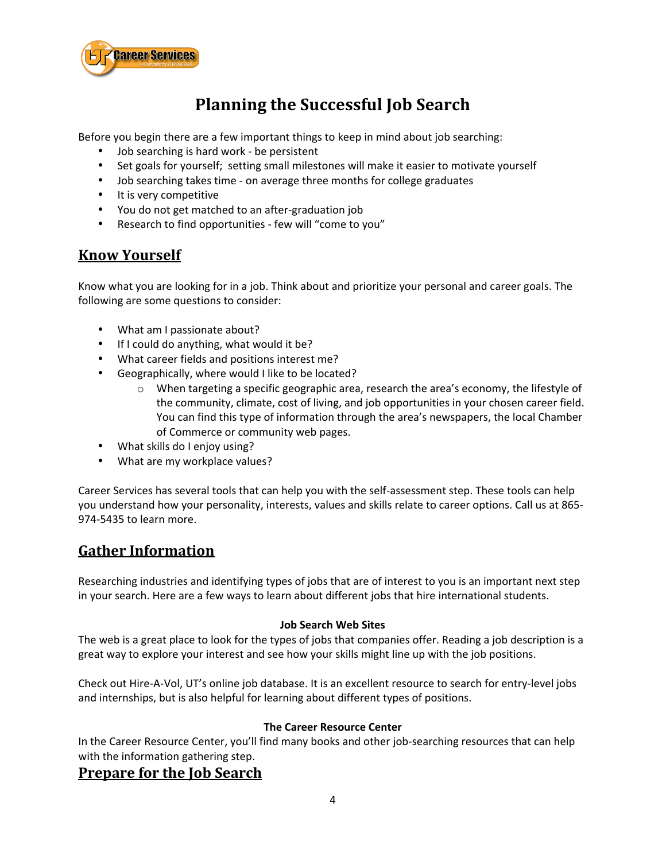

## **Planning
the
Successful
Job
Search**

Before you begin there are a few important things to keep in mind about job searching:

- Job searching is hard work be persistent
- Set goals for yourself; setting small milestones will make it easier to motivate yourself
- Job searching takes time on average three months for college graduates
- It
is
very
competitive
- You do not get matched to an after-graduation job
- Research to find opportunities few will "come to you"

### **Know
Yourself**

Know what you are looking for in a job. Think about and prioritize your personal and career goals. The following
are
some
questions
to
consider:

- What am I passionate about?
- If I could do anything, what would it be?
- What
career
fields
and
positions
interest
me?
- Geographically, where would I like to be located?
	- o When
	targeting
	a
	specific
	geographic
	area,
	research
	the
	area's
	economy,
	the
	lifestyle
	of the
	community,
	climate,
	cost
	of
	living,
	and
	job
	opportunities
	in
	your
	chosen
	career
	field. You can find this type of information through the area's newspapers, the local Chamber of
	Commerce
	or
	community
	web
	pages.
- What skills do I enjoy using?
- What are my workplace values?

Career Services has several tools that can help you with the self-assessment step. These tools can help you understand how your personality, interests, values and skills relate to career options. Call us at 865-974‐5435
to
learn
more.

### **Gather
Information**

Researching industries and identifying types of jobs that are of interest to you is an important next step in
your
search.
Here
are
a
few
ways
to
learn
about
different
jobs
that
hire
international
students.

#### **Job
Search
Web
Sites**

The web is a great place to look for the types of jobs that companies offer. Reading a job description is a great way to explore your interest and see how your skills might line up with the job positions.

Check out Hire-A-Vol, UT's online job database. It is an excellent resource to search for entry-level jobs and internships, but is also helpful for learning about different types of positions.

#### **The
Career
Resource
Center**

In the Career Resource Center, you'll find many books and other job-searching resources that can help with the information gathering step.

### **Prepare
for
the
Job
Search**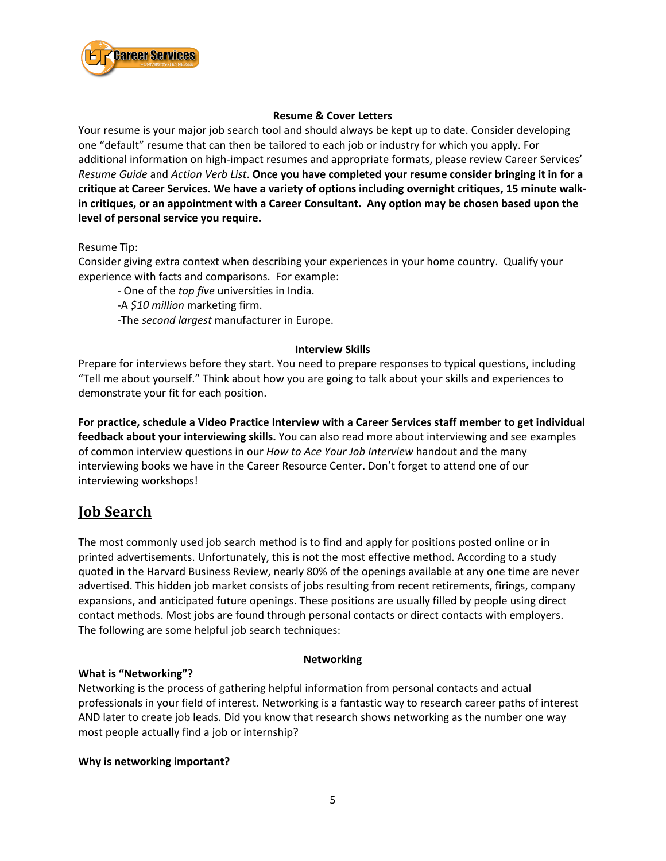

#### **Resume
&
Cover
Letters**

Your resume is your major job search tool and should always be kept up to date. Consider developing one
"default"
resume
that
can
then
be
tailored
to
each
job
or
industry
for
which
you
apply.
For additional information on high-impact resumes and appropriate formats, please review Career Services' Resume Guide and Action Verb List. Once you have completed your resume consider bringing it in for a **critique
at
Career
Services. We
have
a
variety
of
options
including
overnight
critiques,
15
minute
walk‐** in critiques, or an appointment with a Career Consultant. Any option may be chosen based upon the **level
of
personal
service
you
require.** 

Resume
Tip:

Consider giving extra context when describing your experiences in your home country. Qualify your experience
with
facts
and
comparisons.

For
example:

‐
One
of
the *top
five*universities
in
India.

‐A *\$10
million*marketing
firm.

‐The *second
largest*manufacturer
in
Europe.

#### **Interview
Skills**

Prepare for interviews before they start. You need to prepare responses to typical questions, including "Tell
me
about
yourself."
Think
about
how
you
are
going
to
talk
about
your
skills
and
experiences
to demonstrate
your
fit
for
each
position.

For practice, schedule a Video Practice Interview with a Career Services staff member to get individual feedback about your interviewing skills. You can also read more about interviewing and see examples of common interview questions in our How to Ace Your Job Interview handout and the many interviewing books we have in the Career Resource Center. Don't forget to attend one of our interviewing
workshops!

### **Job
Search**

The most commonly used job search method is to find and apply for positions posted online or in printed advertisements. Unfortunately, this is not the most effective method. According to a study quoted
in
the
Harvard
Business
Review,
nearly
80%
of
the
openings
available
at
any
one
time
are
never advertised.
This
hidden
job
market
consists
of
jobs
resulting
from
recent
retirements,
firings,
company expansions, and anticipated future openings. These positions are usually filled by people using direct contact
methods.
Most
jobs
are
found
through
personal
contacts
or
direct
contacts
with
employers. The
following
are
some
helpful
job
search
techniques:

#### **Networking**

#### What is "Networking"?

Networking is the process of gathering helpful information from personal contacts and actual professionals
in
your
field
of
interest.
Networking
is
a
fantastic
way
to
research
career
paths
of
interest AND later to create job leads. Did you know that research shows networking as the number one way most
people
actually
find
a
job
or
internship?

#### **Why
is
networking
important?**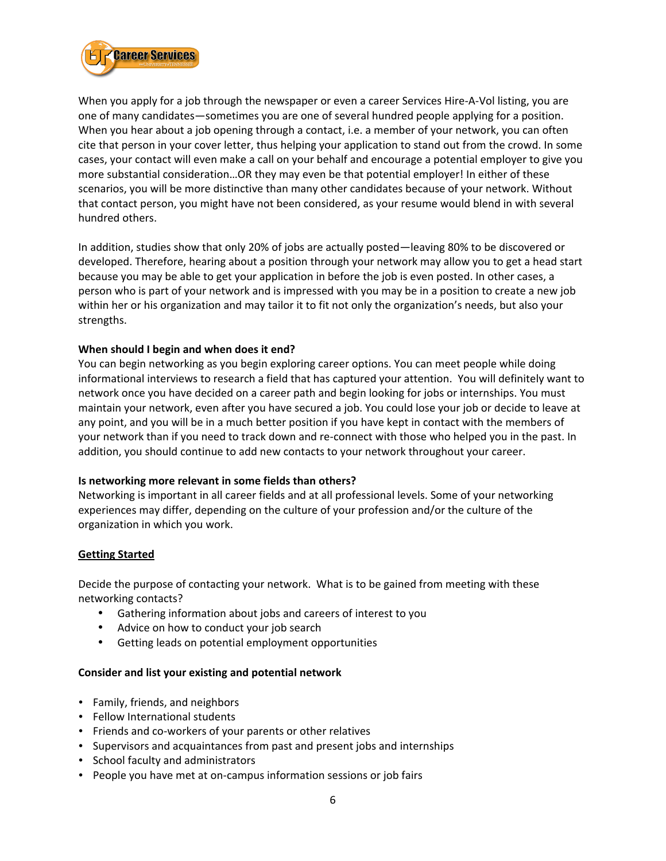

When you apply for a job through the newspaper or even a career Services Hire-A-Vol listing, you are one
of
many
candidates—sometimes
you
are
one
of
several
hundred
people
applying
for
a
position. When you hear about a job opening through a contact, i.e. a member of your network, you can often cite that person in your cover letter, thus helping your application to stand out from the crowd. In some cases, your contact will even make a call on your behalf and encourage a potential employer to give you more substantial consideration...OR they may even be that potential employer! In either of these scenarios, you will be more distinctive than many other candidates because of your network. Without that contact person, you might have not been considered, as your resume would blend in with several hundred
others.

In addition, studies show that only 20% of jobs are actually posted—leaving 80% to be discovered or developed. Therefore, hearing about a position through your network may allow you to get a head start because you may be able to get your application in before the job is even posted. In other cases, a person who is part of your network and is impressed with you may be in a position to create a new job within her or his organization and may tailor it to fit not only the organization's needs, but also your strengths.

#### When should I begin and when does it end?

You can begin networking as you begin exploring career options. You can meet people while doing informational interviews to research a field that has captured your attention. You will definitely want to network
once
you
have
decided
on
a
career
path
and
begin
looking
for
jobs
or
internships.
You
must maintain your network, even after you have secured a job. You could lose your job or decide to leave at any point, and you will be in a much better position if you have kept in contact with the members of your network than if you need to track down and re-connect with those who helped you in the past. In addition, you should continue to add new contacts to your network throughout your career.

#### **Is
networking
more
relevant
in
some
fields
than
others?**

Networking is important in all career fields and at all professional levels. Some of your networking experiences
may
differ,
depending
on
the
culture
of
your
profession
and/or
the
culture
of
the organization
in
which
you
work.

#### **Getting
Started**

Decide the purpose of contacting your network. What is to be gained from meeting with these networking
contacts?

- Gathering information about jobs and careers of interest to you
- Advice on how to conduct your job search
- Getting
leads
on
potential
employment
opportunities

#### **Consider
and
list
your
existing
and
potential
network**

- Family,
friends,
and
neighbors
- Fellow
International
students
- Friends and co-workers of your parents or other relatives
- Supervisors
and
acquaintances
from
past
and
present
jobs
and
internships
- School
faculty
and
administrators
- People you have met at on-campus information sessions or job fairs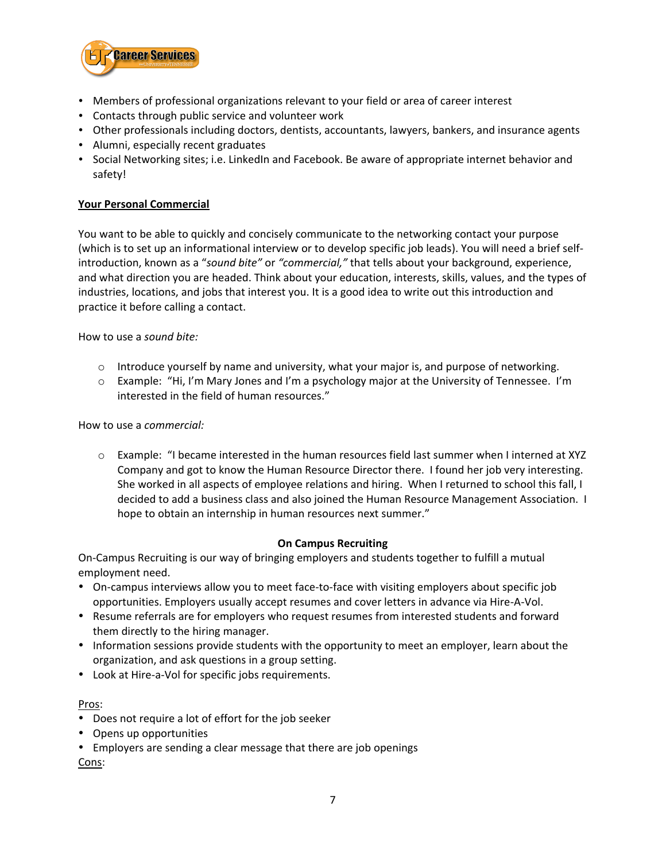

- Members of professional organizations relevant to your field or area of career interest
- Contacts
through
public
service
and
volunteer
work
- Other professionals including doctors, dentists, accountants, lawyers, bankers, and insurance agents
- Alumni,
especially
recent
graduates
- Social Networking sites; i.e. LinkedIn and Facebook. Be aware of appropriate internet behavior and safety!

#### **Your
Personal
Commercial**

You want to be able to quickly and concisely communicate to the networking contact your purpose (which is to set up an informational interview or to develop specific job leads). You will need a brief selfintroduction, known as a "sound bite" or "commercial," that tells about your background, experience, and what direction you are headed. Think about your education, interests, skills, values, and the types of industries, locations, and jobs that interest you. It is a good idea to write out this introduction and practice
it
before
calling
a
contact.

How
to
use
a *sound
bite:*

- $\circ$  Introduce yourself by name and university, what your major is, and purpose of networking.
- $\circ$  Example: "Hi, I'm Mary Jones and I'm a psychology major at the University of Tennessee. I'm interested in the field of human resources."

How
to
use
a *commercial:*

○ Example: "I became interested in the human resources field last summer when I interned at XYZ Company and got to know the Human Resource Director there. I found her job very interesting. She worked in all aspects of employee relations and hiring. When I returned to school this fall, I decided to add a business class and also joined the Human Resource Management Association. I hope to obtain an internship in human resources next summer."

#### **On
Campus
Recruiting**

On-Campus Recruiting is our way of bringing employers and students together to fulfill a mutual employment
need.

- On-campus interviews allow you to meet face-to-face with visiting employers about specific job opportunities. Employers usually accept resumes and cover letters in advance via Hire-A-Vol.
- Resume referrals are for employers who request resumes from interested students and forward them
directly
to
the
hiring
manager.
- Information sessions provide students with the opportunity to meet an employer, learn about the organization,
and
ask
questions
in
a
group
setting.
- Look at Hire-a-Vol for specific jobs requirements.

Pros:

- Does not require a lot of effort for the job seeker
- Opens
up
opportunities
- Employers are sending a clear message that there are job openings

Cons: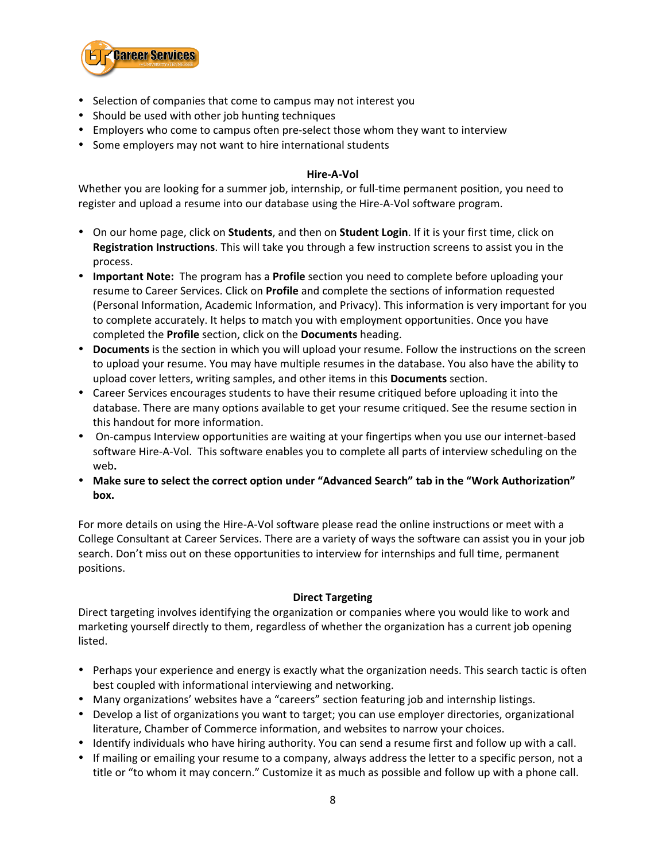

- Selection of companies that come to campus may not interest you
- Should be used with other job hunting techniques
- Employers who come to campus often pre-select those whom they want to interview
- Some employers may not want to hire international students

#### **Hire‐A‐Vol**

Whether you are looking for a summer job, internship, or full-time permanent position, you need to register
and
upload
a
resume
into
our
database
using
the
Hire‐A‐Vol
software
program.

- On our home page, click on **Students**, and then on **Student Login**. If it is your first time, click on Registration Instructions. This will take you through a few instruction screens to assist you in the process.
- Important Note: The program has a Profile section you need to complete before uploading your resume to Career Services. Click on **Profile** and complete the sections of information requested (Personal Information, Academic Information, and Privacy). This information is very important for you to complete accurately. It helps to match you with employment opportunities. Once you have completed
the **Profile**section,
click
on
the **Documents** heading.
- Documents is the section in which you will upload your resume. Follow the instructions on the screen to upload your resume. You may have multiple resumes in the database. You also have the ability to upload cover letters, writing samples, and other items in this **Documents** section.
- Career Services encourages students to have their resume critiqued before uploading it into the database. There are many options available to get your resume critiqued. See the resume section in this
handout
for
more
information.
- On-campus Interview opportunities are waiting at your fingertips when you use our internet-based software Hire-A-Vol. This software enables you to complete all parts of interview scheduling on the web**.**
- Make sure to select the correct option under "Advanced Search" tab in the "Work Authorization" **box.**

For more details on using the Hire-A-Vol software please read the online instructions or meet with a College Consultant at Career Services. There are a variety of ways the software can assist you in your job search. Don't miss out on these opportunities to interview for internships and full time, permanent positions.

#### **Direct
Targeting**

Direct targeting involves identifying the organization or companies where you would like to work and marketing yourself directly to them, regardless of whether the organization has a current job opening listed.

- Perhaps your experience and energy is exactly what the organization needs. This search tactic is often best
coupled
with
informational
interviewing
and
networking.
- Many organizations' websites have a "careers" section featuring job and internship listings.
- Develop a list of organizations you want to target; you can use employer directories, organizational literature, Chamber of Commerce information, and websites to narrow your choices.
- Identify individuals who have hiring authority. You can send a resume first and follow up with a call.
- If mailing or emailing your resume to a company, always address the letter to a specific person, not a title or "to whom it may concern." Customize it as much as possible and follow up with a phone call.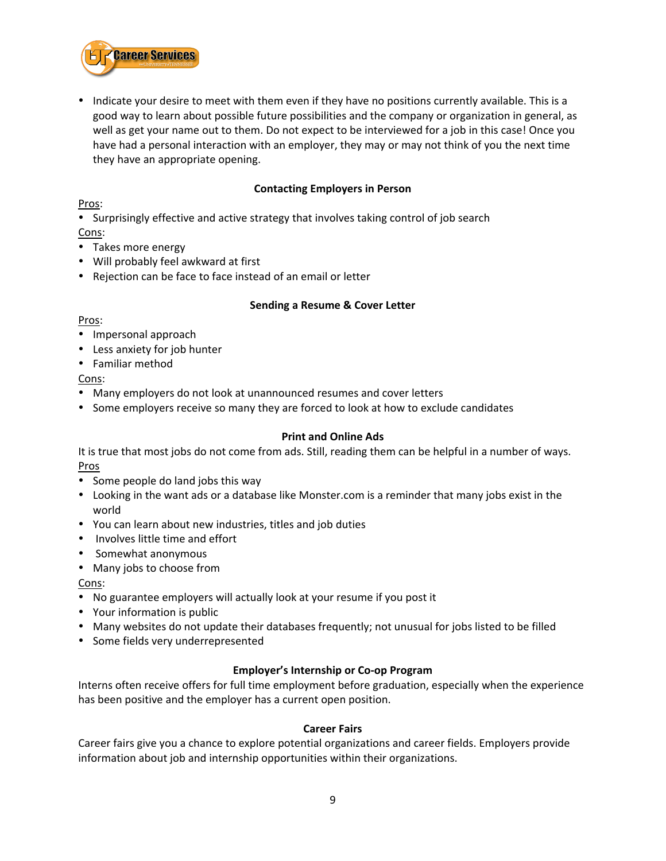

• Indicate your desire to meet with them even if they have no positions currently available. This is a good way to learn about possible future possibilities and the company or organization in general, as well as get your name out to them. Do not expect to be interviewed for a job in this case! Once you have had a personal interaction with an employer, they may or may not think of you the next time they
have
an
appropriate
opening.

#### **Contacting
Employers
in
Person**

#### Pros:

• Surprisingly effective and active strategy that involves taking control of job search Cons:

- Takes
more
energy
- Will
probably
feel
awkward
at
first
- Rejection can be face to face instead of an email or letter

#### **Sending
a
Resume
&
Cover
Letter**

#### Pros:

- Impersonal
approach
- Less anxiety for job hunter
- Familiar
method

#### Cons:

- Many employers do not look at unannounced resumes and cover letters
- Some employers receive so many they are forced to look at how to exclude candidates

#### **Print
and
Online
Ads**

It is true that most jobs do not come from ads. Still, reading them can be helpful in a number of ways. Pros

- Some people do land jobs this way
- Looking in the want ads or a database like Monster.com is a reminder that many jobs exist in the world
- You
can
learn
about
new
industries,
titles
and
job
duties
- Involves little time and effort
- Somewhat
anonymous
- Many jobs to choose from

#### Cons:

- No guarantee employers will actually look at your resume if you post it
- Your information is public
- Many websites do not update their databases frequently; not unusual for jobs listed to be filled
- Some
fields
very
underrepresented

#### **Employer's
Internship
or
Co‐op
Program**

Interns often receive offers for full time employment before graduation, especially when the experience has
been
positive
and
the
employer
has
a
current
open
position.

#### **Career
Fairs**

Career fairs give you a chance to explore potential organizations and career fields. Employers provide information
about
job
and
internship
opportunities
within
their
organizations.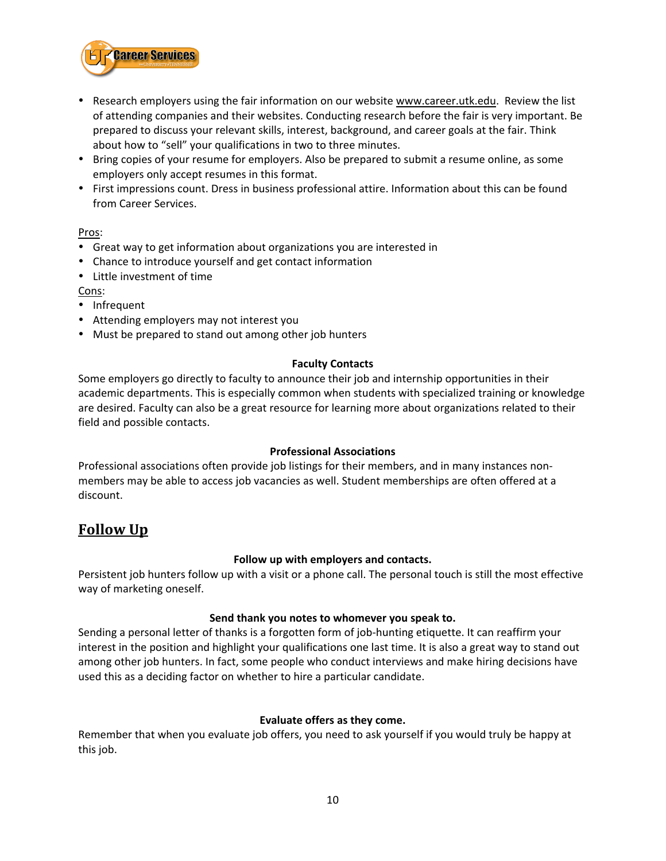

- Research employers using the fair information on our website www.career.utk.edu. Review the list of
attending
companies
and
their
websites.
Conducting
research
before
the
fair
is
very
important.
Be prepared to discuss your relevant skills, interest, background, and career goals at the fair. Think about how to "sell" your qualifications in two to three minutes.
- Bring copies of your resume for employers. Also be prepared to submit a resume online, as some employers
only
accept
resumes
in
this
format.
- First impressions count. Dress in business professional attire. Information about this can be found from
Career
Services.

#### Pros:

- Great way to get information about organizations you are interested in
- Chance to introduce yourself and get contact information
- Little investment of time

Cons:

- Infrequent
- Attending
employers
may
not
interest
you
- Must be prepared to stand out among other job hunters

#### **Faculty
Contacts**

Some employers go directly to faculty to announce their job and internship opportunities in their academic departments. This is especially common when students with specialized training or knowledge are desired. Faculty can also be a great resource for learning more about organizations related to their field
and
possible
contacts.

#### **Professional
Associations**

Professional associations often provide job listings for their members, and in many instances nonmembers may be able to access job vacancies as well. Student memberships are often offered at a discount.

### **Follow
Up**

#### **Follow up
with
employers
and
contacts.**

Persistent job hunters follow up with a visit or a phone call. The personal touch is still the most effective way
of
marketing
oneself.

#### **Send
thank
you
notes
to
whomever
you
speak
to.**

Sending a personal letter of thanks is a forgotten form of job-hunting etiquette. It can reaffirm your interest in the position and highlight your qualifications one last time. It is also a great way to stand out among other job hunters. In fact, some people who conduct interviews and make hiring decisions have used
this
as
a
deciding
factor
on
whether
to
hire
a
particular
candidate.

#### **Evaluate
offers
as
they
come.**

Remember that when you evaluate job offers, you need to ask yourself if you would truly be happy at this
job.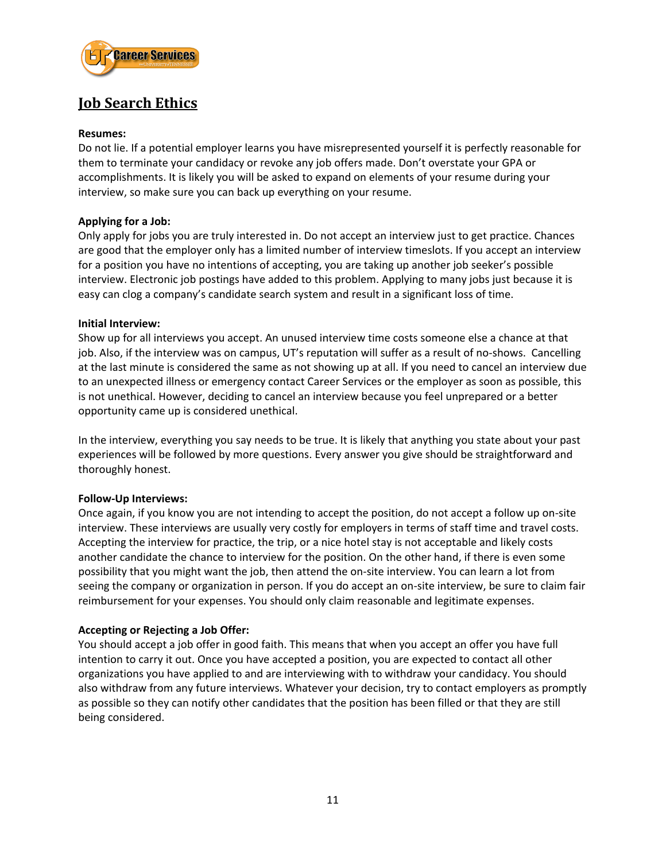

### **Job
Search
Ethics**

#### **Resumes:**

Do not lie. If a potential employer learns you have misrepresented yourself it is perfectly reasonable for them to terminate your candidacy or revoke any job offers made. Don't overstate your GPA or accomplishments. It is likely you will be asked to expand on elements of your resume during your interview, so make sure you can back up everything on your resume.

#### **Applying
for
a
Job:**

Only apply for jobs you are truly interested in. Do not accept an interview just to get practice. Chances are good that the employer only has a limited number of interview timeslots. If you accept an interview for a position you have no intentions of accepting, you are taking up another job seeker's possible interview. Electronic job postings have added to this problem. Applying to many jobs just because it is easy can clog a company's candidate search system and result in a significant loss of time.

#### **Initial
Interview:**

Show up for all interviews you accept. An unused interview time costs someone else a chance at that job. Also, if the interview was on campus, UT's reputation will suffer as a result of no-shows. Cancelling at the last minute is considered the same as not showing up at all. If you need to cancel an interview due to an unexpected illness or emergency contact Career Services or the employer as soon as possible, this is not unethical. However, deciding to cancel an interview because you feel unprepared or a better opportunity
came
up
is
considered
unethical.

In the interview, everything you say needs to be true. It is likely that anything you state about your past experiences
will
be
followed
by
more
questions.
Every
answer
you
give
should
be
straightforward
and thoroughly
honest.

#### **Follow‐Up
Interviews:**

Once again, if you know you are not intending to accept the position, do not accept a follow up on-site interview. These interviews are usually very costly for employers in terms of staff time and travel costs. Accepting the interview for practice, the trip, or a nice hotel stay is not acceptable and likely costs another candidate the chance to interview for the position. On the other hand, if there is even some possibility that you might want the job, then attend the on-site interview. You can learn a lot from seeing the company or organization in person. If you do accept an on-site interview, be sure to claim fair reimbursement for your expenses. You should only claim reasonable and legitimate expenses.

#### **Accepting
or
Rejecting
a
Job
Offer:**

You should accept a job offer in good faith. This means that when you accept an offer you have full intention
to
carry
it
out.
Once
you
have
accepted
a
position,
you
are
expected
to
contact
all
other organizations
you
have
applied
to
and
are
interviewing
with
to
withdraw
your
candidacy.
You
should also
withdraw
from
any
future
interviews.
Whatever
your
decision,
try
to
contact
employers
as
promptly as possible so they can notify other candidates that the position has been filled or that they are still being
considered.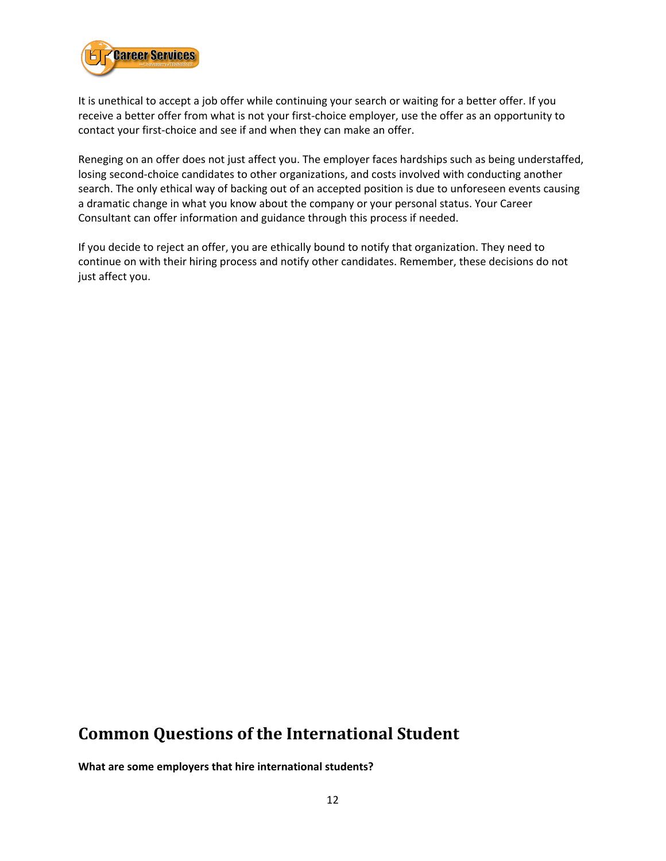

It is unethical to accept a job offer while continuing your search or waiting for a better offer. If you receive a better offer from what is not your first-choice employer, use the offer as an opportunity to contact your first-choice and see if and when they can make an offer.

Reneging
on
an
offer
does
not
just
affect
you.
The
employer
faces
hardships
such
as
being
understaffed, losing second-choice candidates to other organizations, and costs involved with conducting another search. The only ethical way of backing out of an accepted position is due to unforeseen events causing a dramatic change in what you know about the company or your personal status. Your Career Consultant
can
offer
information
and
guidance
through
this
process
if
needed.

If you decide to reject an offer, you are ethically bound to notify that organization. They need to continue on with their hiring process and notify other candidates. Remember, these decisions do not just
affect
you.

## **Common
Questions
of
the
International
Student**

**What
are
some
employers
that
hire
international
students?**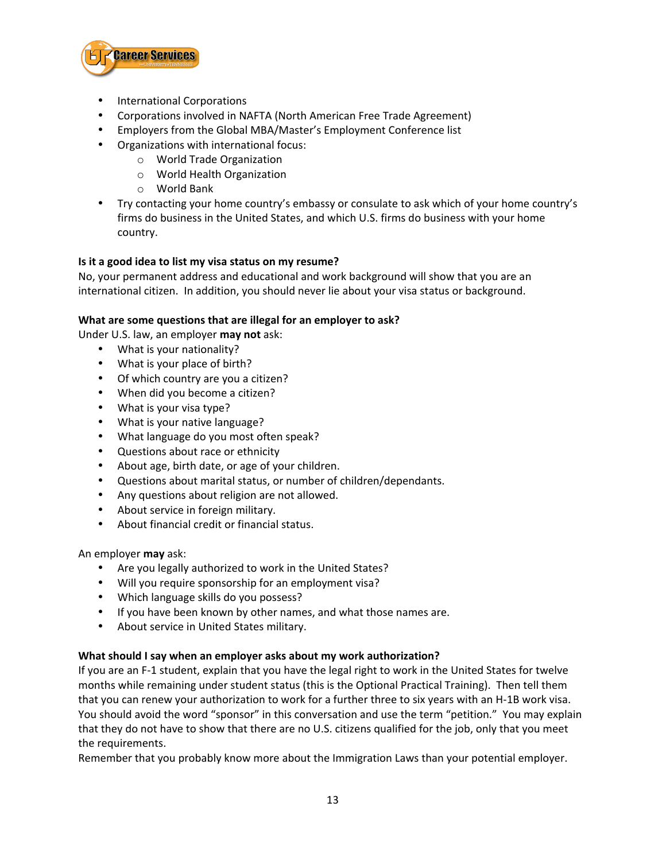

- International
Corporations
- Corporations involved in NAFTA (North American Free Trade Agreement)
- Employers from the Global MBA/Master's Employment Conference list
- Organizations
with
international
focus:
	- o World
	Trade
	Organization
	- o World
	Health
	Organization
	- o World
	Bank
- Try contacting your home country's embassy or consulate to ask which of your home country's firms do business in the United States, and which U.S. firms do business with your home country.

#### **Is
it
a
good
idea
to
list
my
visa
status
on
my
resume?**

No, your permanent address and educational and work background will show that you are an international citizen. In addition, you should never lie about your visa status or background.

#### What are some questions that are illegal for an employer to ask?

Under U.S. law, an employer may not ask:

- What is your nationality?
- What is your place of birth?
- Of which country are you a citizen?
- When did you become a citizen?
- What is your visa type?
- What is your native language?
- What language do you most often speak?
- Questions
about
race
or
ethnicity
- About age, birth date, or age of your children.
- Questions about marital status, or number of children/dependants.
- Any questions about religion are not allowed.
- About service in foreign military.
- About financial credit or financial status.

An
employer **may**ask:

- Are you legally authorized to work in the United States?
- Will you require sponsorship for an employment visa?
- Which
language
skills
do
you
possess?
- If you have been known by other names, and what those names are.
- About
service
in
United
States
military.

#### **What
should
I
say
when
an
employer
asks
about
my
work
authorization?**

If you are an F-1 student, explain that you have the legal right to work in the United States for twelve months while remaining under student status (this is the Optional Practical Training). Then tell them that you can renew your authorization to work for a further three to six years with an H-1B work visa. You should avoid the word "sponsor" in this conversation and use the term "petition." You may explain that they do not have to show that there are no U.S. citizens qualified for the job, only that you meet the
requirements.

Remember
that
you
probably
know
more
about
the
Immigration
Laws
than
your
potential
employer.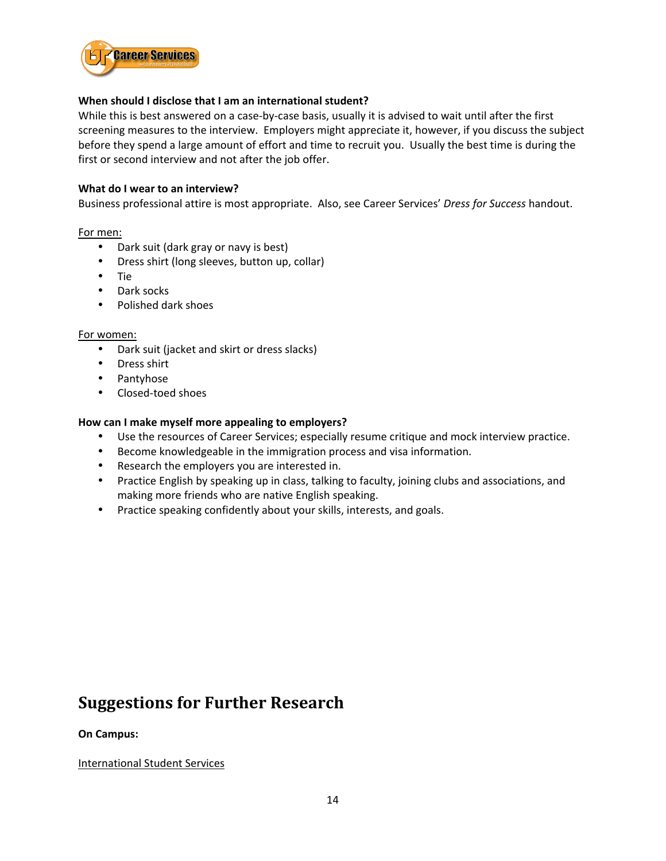

#### When should I disclose that I am an international student?

While this is best answered on a case-by-case basis, usually it is advised to wait until after the first screening measures to the interview. Employers might appreciate it, however, if you discuss the subject before they spend a large amount of effort and time to recruit you. Usually the best time is during the first or second interview and not after the job offer.

#### What do I wear to an interview?

Business professional attire is most appropriate. Also, see Career Services' Dress for Success handout.

For
men:

- Dark suit (dark gray or navy is best)
- Dress
shirt
(long
sleeves,
button
up,
collar)
- Tie
- Dark
socks
- Polished
dark
shoes

#### For
women:

- Dark suit (jacket and skirt or dress slacks)
- Dress
shirt
- Pantyhose
- Closed‐toed
shoes

#### **How
can
I
make
myself
more
appealing
to
employers?**

- Use the resources of Career Services; especially resume critique and mock interview practice.
- Become knowledgeable in the immigration process and visa information.
- Research
the
employers
you
are
interested
in.
- Practice English by speaking up in class, talking to faculty, joining clubs and associations, and making
more
friends
who
are
native
English
speaking.
- Practice speaking confidently about your skills, interests, and goals.

## **Suggestions
for
Further
Research**

**On
Campus:**

International
Student
Services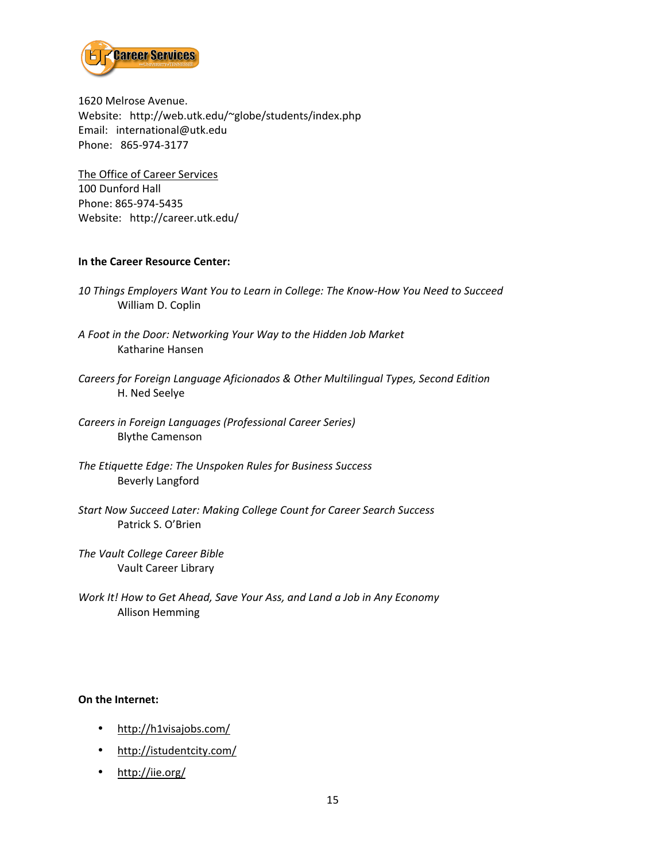

1620
Melrose
Avenue. Website:

http://web.utk.edu/~globe/students/index.php Email:

international@utk.edu Phone:

865‐974‐3177

The
Office
of
Career
Services 100
Dunford
Hall Phone:
865‐974‐5435 Website:

http://career.utk.edu/

#### **In
the
Career
Resource
Center:**

- 10 Things Employers Want You to Learn in College: The Know-How You Need to Succeed William
D.
Coplin
- *A
Foot
in
the
Door:
Networking
Your
Way
to
the
Hidden
Job
Market* Katharine
Hansen
- *Careers
for
Foreign
Language
Aficionados
&
Other
Multilingual
Types,
Second
Edition* H.
Ned
Seelye
- *Careers
in
Foreign
Languages
(Professional
Career
Series)* Blythe
Camenson
- *The
Etiquette
Edge:
The
Unspoken
Rules
for
Business
Success* Beverly
Langford
- *Start
Now
Succeed
Later:
Making
College
Count
for
Career
Search
Success* Patrick
S.
O'Brien
- *The
Vault
College
Career
Bible* Vault
Career
Library

*Work
It!
How
to
Get
Ahead,
Save
Your
Ass,
and
Land
a
Job
in
Any
Economy* Allison
Hemming

#### **On
the
Internet:**

- http://h1visajobs.com/
- http://istudentcity.com/
- http://iie.org/